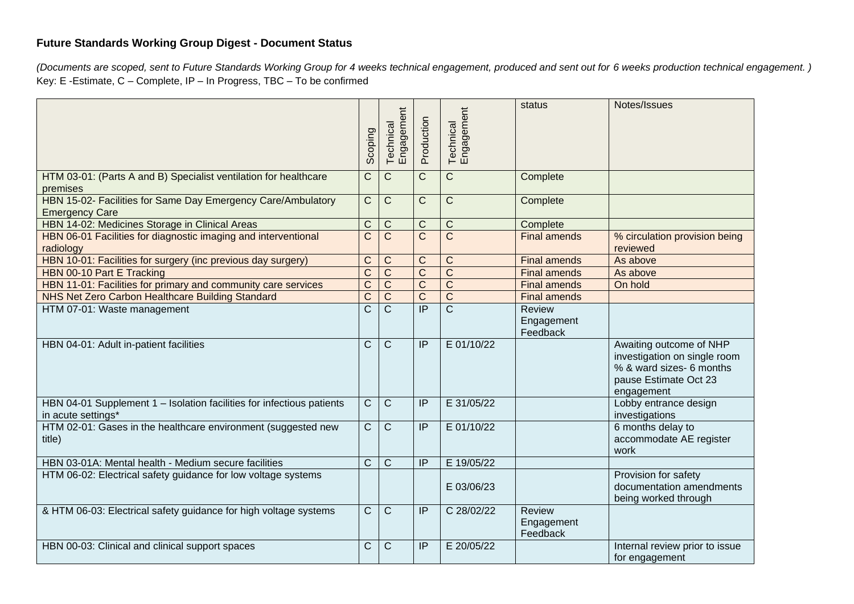## **Future Standards Working Group Digest - Document Status**

*(Documents are scoped, sent to Future Standards Working Group for 4 weeks technical engagement, produced and sent out for 6 weeks production technical engagement. )* Key: E -Estimate, C – Complete, IP – In Progress, TBC – To be confirmed

|                                                                                             | <b>Scoping</b> | Engagement<br>Technical | Production            | Technical<br>Engagement | status                                  | Notes/Issues                                                                                                               |
|---------------------------------------------------------------------------------------------|----------------|-------------------------|-----------------------|-------------------------|-----------------------------------------|----------------------------------------------------------------------------------------------------------------------------|
| HTM 03-01: (Parts A and B) Specialist ventilation for healthcare<br>premises                | $\mathsf C$    | $\mathsf{C}$            | $\mathsf{C}$          | $\mathsf{C}$            | Complete                                |                                                                                                                            |
| HBN 15-02- Facilities for Same Day Emergency Care/Ambulatory<br><b>Emergency Care</b>       | $\mathsf{C}$   | $\mathsf{C}$            | $\mathsf{C}$          | $\mathsf C$             | Complete                                |                                                                                                                            |
| HBN 14-02: Medicines Storage in Clinical Areas                                              | C              | $\mathsf C$             | C                     | $\mathsf C$             | Complete                                |                                                                                                                            |
| HBN 06-01 Facilities for diagnostic imaging and interventional<br>radiology                 | $\mathsf C$    | $\mathsf{C}$            | $\overline{C}$        | $\overline{C}$          | <b>Final amends</b>                     | % circulation provision being<br>reviewed                                                                                  |
| HBN 10-01: Facilities for surgery (inc previous day surgery)                                | $\mathsf C$    | $\mathsf{C}$            | $\mathsf C$           | $\mathsf C$             | <b>Final amends</b>                     | As above                                                                                                                   |
| HBN 00-10 Part E Tracking                                                                   | $\mathsf{C}$   | $\overline{C}$          | $\overline{\text{C}}$ | $\overline{C}$          | <b>Final amends</b>                     | As above                                                                                                                   |
| HBN 11-01: Facilities for primary and community care services                               | $\overline{C}$ | $\overline{C}$          | $\overline{\text{C}}$ | $\overline{\text{C}}$   | <b>Final amends</b>                     | On hold                                                                                                                    |
| NHS Net Zero Carbon Healthcare Building Standard                                            | $\overline{C}$ | $\overline{C}$          | $\overline{\text{C}}$ | $\overline{\text{c}}$   | <b>Final amends</b>                     |                                                                                                                            |
| HTM 07-01: Waste management                                                                 | C              | $\mathsf{C}$            | $\overline{IP}$       | $\overline{\text{c}}$   | <b>Review</b><br>Engagement<br>Feedback |                                                                                                                            |
| HBN 04-01: Adult in-patient facilities                                                      | C              | $\mathsf{C}$            | IP                    | E 01/10/22              |                                         | Awaiting outcome of NHP<br>investigation on single room<br>% & ward sizes- 6 months<br>pause Estimate Oct 23<br>engagement |
| HBN 04-01 Supplement 1 - Isolation facilities for infectious patients<br>in acute settings* | $\mathsf{C}$   | $\mathsf{C}$            | IP                    | E 31/05/22              |                                         | Lobby entrance design<br>investigations                                                                                    |
| HTM 02-01: Gases in the healthcare environment (suggested new<br>title)                     | $\overline{C}$ | $\mathsf{C}$            | IP                    | E 01/10/22              |                                         | 6 months delay to<br>accommodate AE register<br>work                                                                       |
| HBN 03-01A: Mental health - Medium secure facilities                                        | $\mathsf{C}$   | $\mathsf{C}$            | IP                    | E 19/05/22              |                                         |                                                                                                                            |
| HTM 06-02: Electrical safety guidance for low voltage systems                               |                |                         |                       | E 03/06/23              |                                         | Provision for safety<br>documentation amendments<br>being worked through                                                   |
| & HTM 06-03: Electrical safety guidance for high voltage systems                            | $\mathsf{C}$   | $\mathsf{C}$            | IP                    | C 28/02/22              | <b>Review</b><br>Engagement<br>Feedback |                                                                                                                            |
| HBN 00-03: Clinical and clinical support spaces                                             | C              | $\mathsf{C}$            | $\overline{P}$        | E 20/05/22              |                                         | Internal review prior to issue<br>for engagement                                                                           |